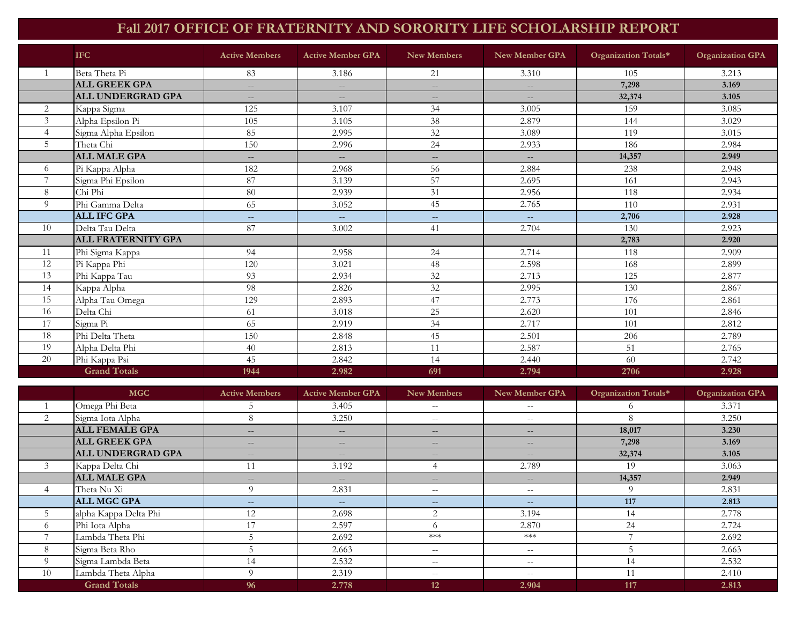## **Fall 2017 OFFICE OF FRATERNITY AND SORORITY LIFE SCHOLARSHIP REPORT**

|                | <b>IFC</b>                | <b>Active Members</b>    | <b>Active Member GPA</b>    | <b>New Members</b>          | New Member GPA                                      | Organization Totals* | <b>Organization GPA</b> |
|----------------|---------------------------|--------------------------|-----------------------------|-----------------------------|-----------------------------------------------------|----------------------|-------------------------|
| $\overline{1}$ | Beta Theta Pi             | 83                       | 3.186                       | 21                          | 3.310                                               | 105                  | 3.213                   |
|                | <b>ALL GREEK GPA</b>      | $-$                      | $---$                       | $---$                       | $-$                                                 | 7,298                | 3.169                   |
|                | <b>ALL UNDERGRAD GPA</b>  | $\overline{\phantom{a}}$ | $\overline{\phantom{a}}$    | $\frac{1}{2}$               | $\qquad \qquad -$                                   | 32,374               | 3.105                   |
| 2              | Kappa Sigma               | 125                      | 3.107                       | 34                          | 3.005                                               | 159                  | 3.085                   |
| 3              | Alpha Epsilon Pi          | 105                      | 3.105                       | 38                          | 2.879                                               | 144                  | 3.029                   |
| $\overline{4}$ | Sigma Alpha Epsilon       | 85                       | 2.995                       | 32                          | 3.089                                               | 119                  | 3.015                   |
| 5              | Theta Chi                 | 150                      | 2.996                       | 24                          | 2.933                                               | 186                  | 2.984                   |
|                | <b>ALL MALE GPA</b>       | $\qquad \qquad -$        | $\overline{\phantom{a}}$    | $\frac{1}{2}$               | $\hspace{0.05cm} -\hspace{0.05cm} -\hspace{0.05cm}$ | 14,357               | 2.949                   |
| 6              | Pi Kappa Alpha            | 182                      | 2.968                       | 56                          | 2.884                                               | 238                  | 2.948                   |
|                | Sigma Phi Epsilon         | 87                       | 3.139                       | 57                          | 2.695                                               | 161                  | 2.943                   |
| 8              | Chi Phi                   | 80                       | 2.939                       | 31                          | 2.956                                               | 118                  | 2.934                   |
| 9              | Phi Gamma Delta           | 65                       | 3.052                       | 45                          | 2.765                                               | 110                  | 2.931                   |
|                | <b>ALL IFC GPA</b>        | $- -$                    | $\mathcal{L} = \mathcal{L}$ | $\mathcal{L} = \mathcal{L}$ | $\sim$                                              | 2,706                | 2.928                   |
| 10             | Delta Tau Delta           | 87                       | 3.002                       | 41                          | 2.704                                               | 130                  | 2.923                   |
|                | <b>ALL FRATERNITY GPA</b> |                          |                             |                             |                                                     | 2,783                | 2.920                   |
| 11             | Phi Sigma Kappa           | 94                       | 2.958                       | 24                          | 2.714                                               | 118                  | 2.909                   |
| 12             | Pi Kappa Phi              | 120                      | 3.021                       | 48                          | 2.598                                               | 168                  | 2.899                   |
| 13             | Phi Kappa Tau             | 93                       | 2.934                       | 32                          | 2.713                                               | 125                  | 2.877                   |
| 14             | Kappa Alpha               | 98                       | 2.826                       | 32                          | 2.995                                               | 130                  | 2.867                   |
| 15             | Alpha Tau Omega           | 129                      | 2.893                       | 47                          | 2.773                                               | 176                  | 2.861                   |
| 16             | Delta Chi                 | 61                       | 3.018                       | 25                          | 2.620                                               | 101                  | 2.846                   |
| 17             | Sigma Pi                  | 65                       | 2.919                       | 34                          | 2.717                                               | 101                  | 2.812                   |
| 18             | Phi Delta Theta           | 150                      | 2.848                       | 45                          | 2.501                                               | 206                  | 2.789                   |
| 19             | Alpha Delta Phi           | 40                       | 2.813                       | 11                          | 2.587                                               | 51                   | 2.765                   |
| 20             | Phi Kappa Psi             | 45                       | 2.842                       | 14                          | 2.440                                               | 60                   | 2.742                   |
|                | <b>Grand Totals</b>       | 1944                     | 2.982                       | 691                         | 2.794                                               | 2706                 | 2.928                   |

|                | <b>MGC</b>               | <b>Active Members</b> | <b>Active Member GPA</b> | <b>New Members</b> | New Member GPA                                                                                    | Organization Totals* | <b>Organization GPA</b> |
|----------------|--------------------------|-----------------------|--------------------------|--------------------|---------------------------------------------------------------------------------------------------|----------------------|-------------------------|
|                | Omega Phi Beta           |                       | 3.405                    | $- -$              | $- -$                                                                                             |                      | 3.371                   |
| 2              | Sigma Iota Alpha         | 8                     | 3.250                    | $- -$              | $- -$                                                                                             | 8                    | 3.250                   |
|                | <b>ALL FEMALE GPA</b>    | $\qquad \qquad -$     | $- -$                    | $\qquad \qquad -$  | $\hspace{0.05cm} \hspace{0.02cm} \hspace{0.02cm} \hspace{0.02cm} \hspace{0.02cm} \hspace{0.02cm}$ | 18,017               | 3.230                   |
|                | <b>ALL GREEK GPA</b>     | $\qquad \qquad -$     | $- -$                    | $\qquad \qquad -$  | $- -$                                                                                             | 7,298                | 3.169                   |
|                | <b>ALL UNDERGRAD GPA</b> | $- -$                 | $- -$                    | $\qquad \qquad -$  | $- -$                                                                                             | 32,374               | 3.105                   |
|                | Kappa Delta Chi          |                       | 3.192                    |                    | 2.789                                                                                             | 19                   | 3.063                   |
|                | <b>ALL MALE GPA</b>      | $- -$                 | $- -$                    | $\qquad \qquad -$  | $\qquad \qquad -$                                                                                 | 14,357               | 2.949                   |
|                | Theta Nu Xi              | $\Omega$              | 2.831                    | $- -$              | $- -$                                                                                             | 9                    | 2.831                   |
|                | <b>ALL MGC GPA</b>       | $- -$                 | $- -$                    | $- -$              | $\sim$                                                                                            | 117                  | 2.813                   |
|                | alpha Kappa Delta Phi    | 12                    | 2.698                    | $\overline{2}$     | 3.194                                                                                             | 14                   | 2.778                   |
| $\Omega$       | Phi Iota Alpha           | 17                    | 2.597                    | $\Omega$           | 2.870                                                                                             | 24                   | 2.724                   |
|                | Lambda Theta Phi         |                       | 2.692                    | $***$              | $***$                                                                                             |                      | 2.692                   |
| 8              | Sigma Beta Rho           |                       | 2.663                    | $- -$              | $- -$                                                                                             |                      | 2.663                   |
| $\overline{Q}$ | Sigma Lambda Beta        | 14                    | 2.532                    | $\sim$ $-$         | $- -$                                                                                             | 14                   | 2.532                   |
| 10             | Lambda Theta Alpha       | $\Omega$              | 2.319                    | $- -$              | $- -$                                                                                             | $\mathbf{I}$         | 2.410                   |
|                | <b>Grand Totals</b>      | 96                    | 2.778                    | 12                 | 2.904                                                                                             | 117                  | 2.813                   |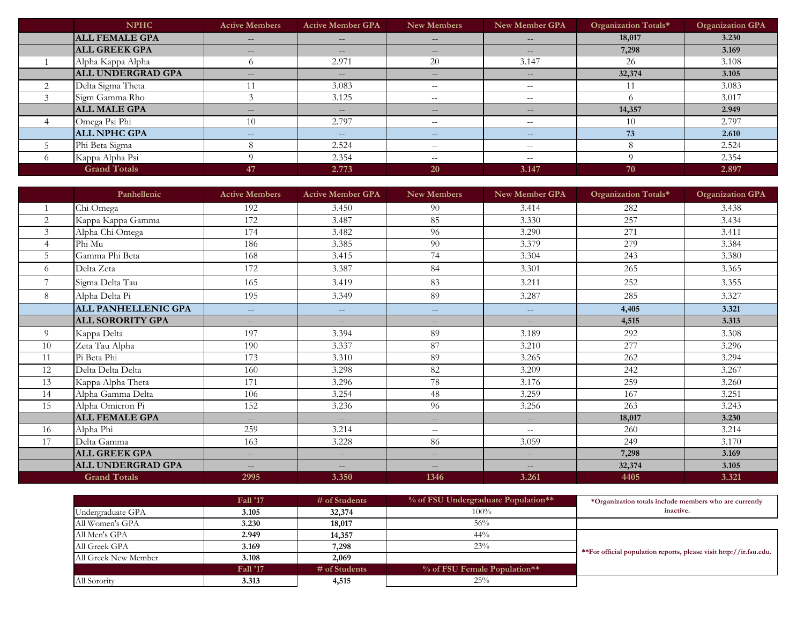|                | <b>NPHC</b>           | <b>Active Members</b> | <b>Active Member GPA</b> | New Members       | New Member GPA                                 | Organization Totals* | <b>Organization GPA</b> |
|----------------|-----------------------|-----------------------|--------------------------|-------------------|------------------------------------------------|----------------------|-------------------------|
|                | <b>ALL FEMALE GPA</b> | $- -$                 | $- -$                    | $\qquad \qquad -$ | $- -$                                          | 18,017               | 3.230                   |
|                | <b>ALL GREEK GPA</b>  | $- -$                 | $\qquad \qquad -$        | $\qquad \qquad -$ | $- -$                                          | 7,298                | 3.169                   |
|                | Alpha Kappa Alpha     |                       | 2.971                    | 20                | 3.147                                          | 26                   | 3.108                   |
|                | ALL UNDERGRAD GPA     | $- -$                 | $\overline{\phantom{m}}$ | $\qquad \qquad -$ | $\hspace{0.1mm}-\hspace{0.1mm}-\hspace{0.1mm}$ | 32,374               | 3.105                   |
| $\overline{2}$ | Delta Sigma Theta     |                       | 3.083                    | $- -$             | $- -$                                          |                      | 3.083                   |
|                | Sigm Gamma Rho        |                       | 3.125                    | $- -$             | $- -$                                          |                      | 3.017                   |
|                | <b>ALL MALE GPA</b>   | $- -$                 | $\qquad \qquad -$        | $\qquad \qquad -$ | $- -$                                          | 14,357               | 2.949                   |
|                | Omega Psi Phi         | 10                    | 2.797                    | $- -$             | $- -$                                          | 10                   | 2.797                   |
|                | <b>ALL NPHC GPA</b>   | $\sim$ $-$            | $\qquad \qquad -$        | $--$              | $\overline{\phantom{a}}$                       | 73                   | 2.610                   |
|                | Phi Beta Sigma        |                       | 2.524                    | $- -$             | $- -$                                          |                      | 2.524                   |
| $\Omega$       | Kappa Alpha Psi       |                       | 2.354                    | $- -$             | $\hspace{0.1mm}-\hspace{0.1mm}-\hspace{0.1mm}$ |                      | 2.354                   |
|                | <b>Grand Totals</b>   | 47                    | 2.773                    | <b>20</b>         | 3.147                                          | 70                   | 2.897                   |

|                | Panhellenic                | <b>Active Members</b>    | <b>Active Member GPA</b> | <b>New Members</b>       | <b>New Member GPA</b>    | Organization Totals* | <b>Organization GPA</b> |
|----------------|----------------------------|--------------------------|--------------------------|--------------------------|--------------------------|----------------------|-------------------------|
|                | Chi Omega                  | 192                      | 3.450                    | 90                       | 3.414                    | 282                  | 3.438                   |
| 2              | Kappa Kappa Gamma          | 172                      | 3.487                    | 85                       | 3.330                    | 257                  | 3.434                   |
| $\mathfrak{Z}$ | Alpha Chi Omega            | 174                      | 3.482                    | 96                       | 3.290                    | 271                  | 3.411                   |
| 4              | Phi Mu                     | 186                      | 3.385                    | 90                       | 3.379                    | 279                  | 3.384                   |
| 5              | Gamma Phi Beta             | 168                      | 3.415                    | 74                       | 3.304                    | 243                  | 3.380                   |
| 6              | Delta Zeta                 | 172                      | 3.387                    | 84                       | 3.301                    | 265                  | 3.365                   |
|                | Sigma Delta Tau            | 165                      | 3.419                    | 83                       | 3.211                    | 252                  | 3.355                   |
| 8              | Alpha Delta Pi             | 195                      | 3.349                    | 89                       | 3.287                    | 285                  | 3.327                   |
|                | <b>ALL PANHELLENIC GPA</b> | $-$                      | $---$                    | $- -$                    | $\overline{\phantom{a}}$ | 4,405                | 3.321                   |
|                | <b>ALL SORORITY GPA</b>    | $\qquad \qquad -$        | $---$                    | $- -$                    | $\qquad \qquad -$        | 4,515                | 3.313                   |
| $\Omega$       | Kappa Delta                | 197                      | 3.394                    | 89                       | 3.189                    | 292                  | 3.308                   |
| 10             | Zeta Tau Alpha             | 190                      | 3.337                    | 87                       | 3.210                    | 277                  | 3.296                   |
| 11             | Pi Beta Phi                | 173                      | 3.310                    | 89                       | 3.265                    | 262                  | 3.294                   |
| 12             | Delta Delta Delta          | 160                      | 3.298                    | 82                       | 3.209                    | 242                  | 3.267                   |
| 13             | Kappa Alpha Theta          | 171                      | 3.296                    | 78                       | 3.176                    | 259                  | 3.260                   |
| 14             | Alpha Gamma Delta          | 106                      | 3.254                    | 48                       | 3.259                    | 167                  | 3.251                   |
| 15             | Alpha Omicron Pi           | 152                      | 3.236                    | 96                       | 3.256                    | 263                  | 3.243                   |
|                | <b>ALL FEMALE GPA</b>      | $\qquad \qquad -$        | $-$                      | $- -$                    | $\qquad \qquad -$        | 18,017               | 3.230                   |
| 16             | Alpha Phi                  | 259                      | 3.214                    | $- -$                    | $--$                     | 260                  | 3.214                   |
| 17             | Delta Gamma                | 163                      | 3.228                    | 86                       | 3.059                    | 249                  | 3.170                   |
|                | <b>ALL GREEK GPA</b>       | $\qquad \qquad -$        | $-$                      | $--$                     | $-$                      | 7,298                | 3.169                   |
|                | ALL UNDERGRAD GPA          | $\overline{\phantom{a}}$ | $\frac{1}{2}$            | $\overline{\phantom{m}}$ | $\frac{1}{2}$            | 32,374               | 3.105                   |
|                | <b>Grand Totals</b>        | 2995                     | 3.350                    | 1346                     | 3.261                    | 4405                 | 3.321                   |

|                        | <b>Fall '17</b> | $#$ of Students | % of FSU Undergraduate Population** | *Organization totals include members who are currently             |
|------------------------|-----------------|-----------------|-------------------------------------|--------------------------------------------------------------------|
| Undergraduate GPA      | 3.105           | 32,374          | $100\%$                             | inactive.                                                          |
| All Women's GPA        | 3.230           | 18,017          | 56%                                 |                                                                    |
| All Men's GPA          | 2.949           | 14,357          | $44\%$                              |                                                                    |
| All Greek GPA<br>3.169 |                 | 7,298           | 23%                                 | **For official population reports, please visit http://ir.fsu.edu. |
| All Greek New Member   | 3.108           | 2,069           |                                     |                                                                    |
|                        | <b>Fall '17</b> | # of Students   | % of FSU Female Population**        |                                                                    |
| All Sorority           | 3.313           | 4,515           | 25%                                 |                                                                    |